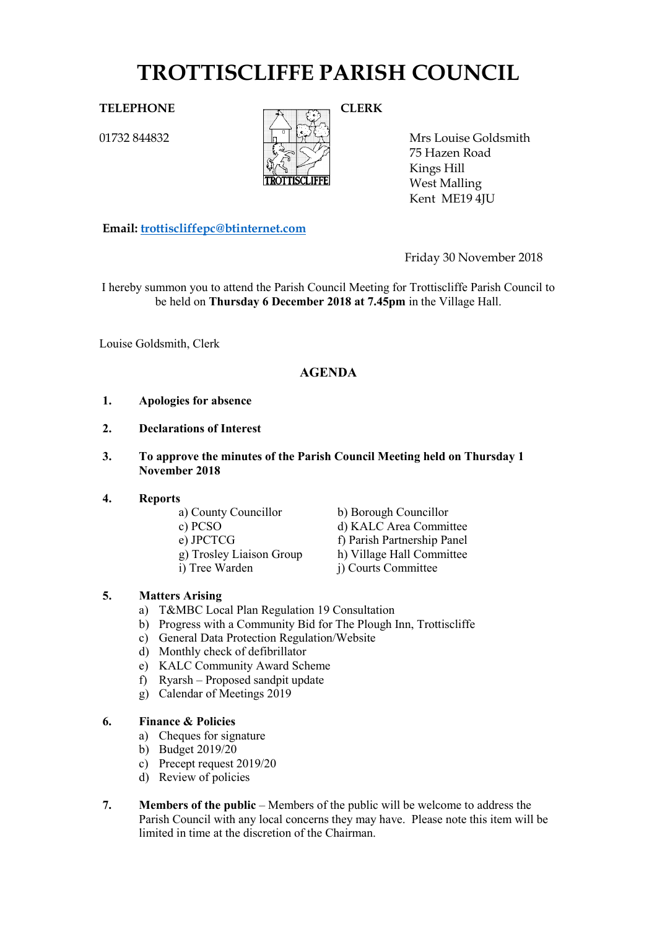# **TROTTISCLIFFE PARISH COUNCIL**

01732 844832



Mrs Louise Goldsmith 75 Hazen Road Kings Hill West Malling Kent ME19 4JU

**Email: [trottiscliffepc@btinternet.com](mailto:trottiscliffepc@btinternet.com)**

Friday 30 November 2018

I hereby summon you to attend the Parish Council Meeting for Trottiscliffe Parish Council to be held on **Thursday 6 December 2018 at 7.45pm** in the Village Hall.

Louise Goldsmith, Clerk

# **AGENDA**

- **1. Apologies for absence**
- **2. Declarations of Interest**
- **3. To approve the minutes of the Parish Council Meeting held on Thursday 1 November 2018**

# **4. Reports**

- a) County Councillor b) Borough Councillor
- 
- 
- c) PCSO d) KALC Area Committee e) JPCTCG f) Parish Partnership Panel g) Trosley Liaison Group h) Village Hall Committee i) Tree Warden j) Courts Committee

# **5. Matters Arising**

- a) T&MBC Local Plan Regulation 19 Consultation
- b) Progress with a Community Bid for The Plough Inn, Trottiscliffe
- c) General Data Protection Regulation/Website
- d) Monthly check of defibrillator
- e) KALC Community Award Scheme
- f) Ryarsh Proposed sandpit update
- g) Calendar of Meetings 2019

# **6. Finance & Policies**

- a) Cheques for signature
- b) Budget 2019/20
- c) Precept request 2019/20
- d) Review of policies
- **7. Members of the public** Members of the public will be welcome to address the Parish Council with any local concerns they may have. Please note this item will be limited in time at the discretion of the Chairman.